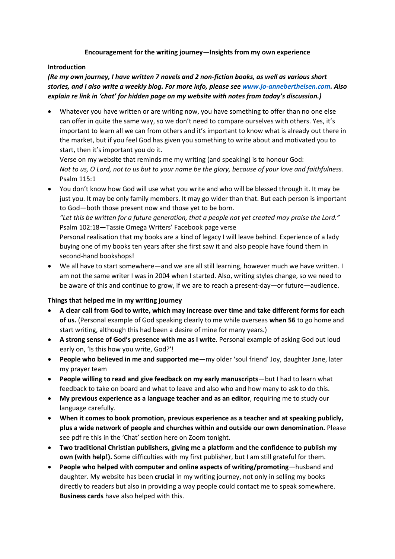### **Encouragement for the writing journey—Insights from my own experience**

### **Introduction**

# *(Re my own journey, I have written 7 novels and 2 non-fiction books, as well as various short stories, and I also write a weekly blog. For more info, please see [www.jo-anneberthelsen.com.](http://www.jo-anneberthelsen.com/) Also explain re link in 'chat' for hidden page on my website with notes from today's discussion.)*

• Whatever you have written or are writing now, you have something to offer than no one else can offer in quite the same way, so we don't need to compare ourselves with others. Yes, it's important to learn all we can from others and it's important to know what is already out there in the market, but if you feel God has given you something to write about and motivated you to start, then it's important you do it.

Verse on my website that reminds me my writing (and speaking) is to honour God: *Not to us, O Lord, not to us but to your name be the glory, because of your love and faithfulness.*  Psalm 115:1

- You don't know how God will use what you write and who will be blessed through it. It may be just you. It may be only family members. It may go wider than that. But each person is important to God—both those present now and those yet to be born. *"Let this be written for a future generation, that a people not yet created may praise the Lord."* Psalm 102:18—Tassie Omega Writers' Facebook page verse Personal realisation that my books are a kind of legacy I will leave behind. Experience of a lady buying one of my books ten years after she first saw it and also people have found them in second-hand bookshops!
- We all have to start somewhere—and we are all still learning, however much we have written. I am not the same writer I was in 2004 when I started. Also, writing styles change, so we need to be aware of this and continue to grow, if we are to reach a present-day—or future—audience.

# **Things that helped me in my writing journey**

- **A clear call from God to write, which may increase over time and take different forms for each of us.** (Personal example of God speaking clearly to me while overseas **when 56** to go home and start writing, although this had been a desire of mine for many years.)
- **A strong sense of God's presence with me as I write**. Personal example of asking God out loud early on, 'Is this how you write, God?'!
- **People who believed in me and supported me**—my older 'soul friend' Joy, daughter Jane, later my prayer team
- **People willing to read and give feedback on my early manuscripts**—but I had to learn what feedback to take on board and what to leave and also who and how many to ask to do this.
- **My previous experience as a language teacher and as an editor**, requiring me to study our language carefully.
- **When it comes to book promotion, previous experience as a teacher and at speaking publicly, plus a wide network of people and churches within and outside our own denomination.** Please see pdf re this in the 'Chat' section here on Zoom tonight.
- **Two traditional Christian publishers, giving me a platform and the confidence to publish my own (with help!).** Some difficulties with my first publisher, but I am still grateful for them.
- **People who helped with computer and online aspects of writing/promoting**—husband and daughter. My website has been **crucial** in my writing journey, not only in selling my books directly to readers but also in providing a way people could contact me to speak somewhere. **Business cards** have also helped with this.